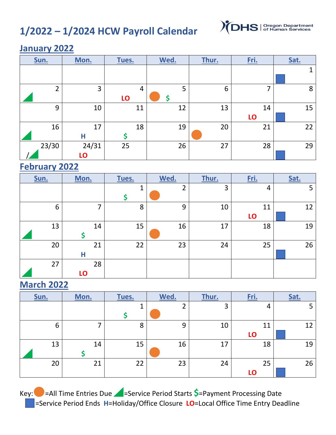# **1/2022 – 1/2024 HCW Payroll Calendar**



#### **January 2022**

| Sun.  | Mon.        | Tues.   | Wed. | Thur. | Fri.     | Sat. |
|-------|-------------|---------|------|-------|----------|------|
|       |             |         |      |       |          |      |
| ำ     | 3           | 4<br>LO | 5    | 6     |          | 8    |
| 9     | 10          | 11      | 12   | 13    | 14<br>LO | 15   |
| 16    | 17<br>Н     | 18<br>Ś | 19   | 20    | 21       | 22   |
| 23/30 | 24/31<br>LO | 25      | 26   | 27    | 28       | 29   |

#### **February 2022**

| Sun. | Mon.     | Tues.  | Wed.           | Thur. | Fri.     | Sat. |
|------|----------|--------|----------------|-------|----------|------|
|      |          | 1<br>Ş | $\overline{2}$ | 3     | 4        | 5    |
| 6    | 7        | 8      | 9              | 10    | 11<br>LO | 12   |
| 13   | 14       | 15     | 16             | 17    | 18       | 19   |
| 20   | 21<br>Н  | 22     | 23             | 24    | 25       | 26   |
| 27   | 28<br>LO |        |                |       |          |      |

#### **March 2022**

| Sun. | Mon. | Tues. | Wed. | Thur. | <u>Fri.</u> | Sat. |
|------|------|-------|------|-------|-------------|------|
|      |      |       | ົ    | 3     | 4           | 5    |
|      |      |       |      |       |             |      |
| 6    | ⇁    | 8     | 9    | 10    | 11          | 12   |
|      |      |       |      |       | LO          |      |
| 13   | 14   | 15    | 16   | 17    | 18          | 19   |
|      |      |       |      |       |             |      |
| 20   | 21   | 22    | 23   | 24    | 25          | 26   |
|      |      |       |      |       | LO          |      |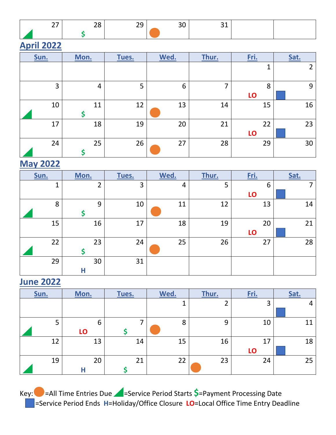|  | $-$<br>__ | --<br>__ |  |  |
|--|-----------|----------|--|--|
|  |           |          |  |  |

## **April 2022**

| Sun.           | Mon. | Tues. | Wed. | Thur. | Fri.     | Sat.           |
|----------------|------|-------|------|-------|----------|----------------|
|                |      |       |      |       | 1        | $\overline{2}$ |
| $\overline{3}$ | 4    | 5     | 6    | 7     | 8<br>LO  | 9              |
| 10             | 11   | 12    | 13   | 14    | 15       | 16             |
| 17             | 18   | 19    | 20   | 21    | 22<br>LO | 23             |
| 24             | 25   | 26    | 27   | 28    | 29       | 30             |

#### **May 2022**

| Sun. | Mon.           | Tues. | Wed. | Thur. | Fri. | Sat. |
|------|----------------|-------|------|-------|------|------|
|      | $\overline{2}$ | 3     | 4    | 5     | 6    | 7    |
|      |                |       |      |       | LO   |      |
| 8    | 9              | 10    | 11   | 12    | 13   | 14   |
|      |                |       |      |       |      |      |
| 15   | 16             | 17    | 18   | 19    | 20   | 21   |
|      |                |       |      |       | LO   |      |
| 22   | 23             | 24    | 25   | 26    | 27   | 28   |
|      |                |       |      |       |      |      |
| 29   | 30             | 31    |      |       |      |      |
|      | Н              |       |      |       |      |      |

#### **June 2022**

| Sun. | Mon. | Tues. | Wed. | Thur. | <u>Fri.</u> | Sat. |
|------|------|-------|------|-------|-------------|------|
|      |      |       |      | C.    | 3           |      |
|      |      |       |      |       |             |      |
|      | 6    |       | 8    | 9     | 10          | 11   |
|      | LO   |       |      |       |             |      |
| 12   | 13   | 14    | 15   | 16    | 17          | 18   |
|      |      |       |      |       | LO          |      |
| 19   | 20   | 21    | 22   | 23    | 24          | 25   |
|      | п    |       |      |       |             |      |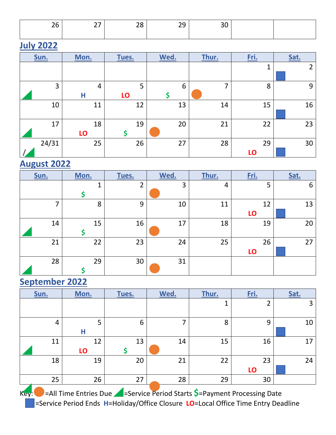| __ | $\overline{\phantom{0}}$ | --<br>__ | --<br>$\overline{\phantom{0}}$ |  |  |
|----|--------------------------|----------|--------------------------------|--|--|
|    |                          |          |                                |  |  |

# **July 2022**

| Sun.  | Mon.     | Tues.   | Wed. | Thur. | Fri.         | Sat.           |
|-------|----------|---------|------|-------|--------------|----------------|
|       |          |         |      |       | $\mathbf{1}$ | $\overline{2}$ |
| 3     | 4<br>Н   | 5<br>LO | 6    | 7     | 8            | 9              |
| 10    | 11       | 12      | 13   | 14    | 15           | 16             |
| 17    | 18<br>LO | 19      | 20   | 21    | 22           | 23             |
| 24/31 | 25       | 26      | 27   | 28    | 29<br>LO     | 30             |

#### **August 2022**

| Sun. | Mon. | Tues.          | Wed. | Thur. | Fri.     | Sat. |
|------|------|----------------|------|-------|----------|------|
|      | ◢    | $\overline{2}$ | 3    | 4     | 5        | 6    |
| ⇁    | 8    | 9              | 10   | 11    | 12<br>LO | 13   |
| 14   | 15   | 16             | 17   | 18    | 19       | 20   |
| 21   | 22   | 23             | 24   | 25    | 26<br>LO | 27   |
| 28   | 29   | 30             | 31   |       |          |      |

### **September 2022**

| Sun. | Mon.     | Tues.   | Wed. | Thur. | Fri.     | Sat. |
|------|----------|---------|------|-------|----------|------|
|      |          |         |      | 1     | ⌒        | 3    |
| 4    | 5<br>Н   | 6       |      | 8     | 9        | 10   |
| 11   | 12<br>LO | 13<br>Ş | 14   | 15    | 16       | 17   |
| 18   | 19       | 20      | 21   | 22    | 23<br>LO | 24   |
| 25   | 26       | 27      | 28   | 29    | 30       |      |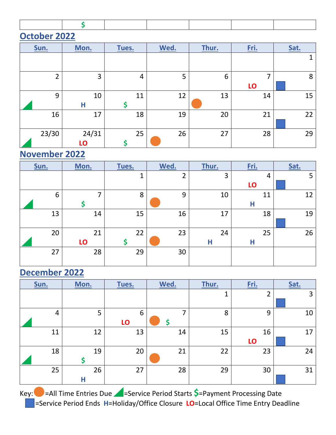|--|--|--|--|--|--|--|--|

#### **October 2022**

| Sun.  | Mon.        | Tues.    | Wed. | Thur. | <u>Fri.</u> | Sat. |
|-------|-------------|----------|------|-------|-------------|------|
|       |             |          |      |       |             | 4    |
| ำ     | 3           | 4        | 5    | 6     | ⇁<br>LO     | 8    |
| 9     | 10<br>Н     | 11<br>\$ | 12   | 13    | 14          | 15   |
| 16    | 17          | 18       | 19   | 20    | 21          | 22   |
| 23/30 | 24/31<br>LO | 25       | 26   | 27    | 28          | 29   |

#### **November 2022**

| Sun. | Mon. | Tues. | Wed. | Thur. | Fri. | Sat. |
|------|------|-------|------|-------|------|------|
|      |      | 1     | ∍    | 3     | 4    | 5    |
|      |      |       |      |       | LO   |      |
| 6    | ⇁    | 8     | 9    | 10    | 11   | 12   |
|      |      |       |      |       | Н    |      |
| 13   | 14   | 15    | 16   | 17    | 18   | 19   |
|      |      |       |      |       |      |      |
| 20   | 21   | 22    | 23   | 24    | 25   | 26   |
|      | LO   |       |      | Н     | Н    |      |
| 27   | 28   | 29    | 30   |       |      |      |
|      |      |       |      |       |      |      |

# **December 2022**

| Sun.           | Mon.    | Tues.   | Wed. | Thur. | Fri.           | Sat. |
|----------------|---------|---------|------|-------|----------------|------|
|                |         |         |      | 1     | $\overline{2}$ | 3    |
| $\overline{4}$ | 5       | 6<br>LO |      | 8     | 9              | 10   |
| 11             | 12      | 13      | 14   | 15    | 16<br>LO       | 17   |
| 18             | 19      | 20      | 21   | 22    | 23             | 24   |
| 25             | 26<br>Н | 27      | 28   | 29    | 30             | 31   |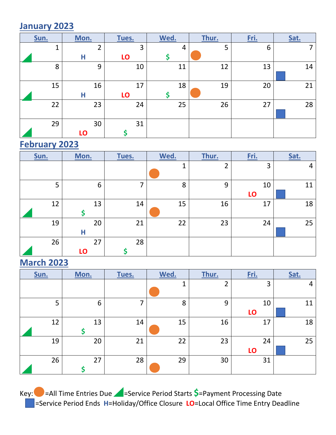#### **January 2023**

| Sun. | Mon.           | Tues. | Wed. | Thur. | Fri. | Sat. |
|------|----------------|-------|------|-------|------|------|
| 1    | $\overline{2}$ | 3     | 4    | 5     | 6    | ⇁    |
|      | Н              | LO    |      |       |      |      |
| 8    | 9              | 10    | 11   | 12    | 13   | 14   |
|      |                |       |      |       |      |      |
| 15   | 16             | 17    | 18   | 19    | 20   | 21   |
|      | Н              | LO    |      |       |      |      |
| 22   | 23             | 24    | 25   | 26    | 27   | 28   |
|      |                |       |      |       |      |      |
| 29   | 30             | 31    |      |       |      |      |
|      | LO             |       |      |       |      |      |

## **February 2023**

| Sun. | Mon.     | Tues. | Wed. | Thur.  | Fri.     | Sat. |
|------|----------|-------|------|--------|----------|------|
|      |          |       | 1    | າ<br>∠ | 3        | 4    |
| 5    | 6        | 7     | 8    | 9      | 10<br>LO | 11   |
| 12   | 13       | 14    | 15   | 16     | 17       | 18   |
| 19   | 20<br>Н  | 21    | 22   | 23     | 24       | 25   |
| 26   | 27<br>LO | 28    |      |        |          |      |

### **March 2023**

| Sun. | Mon. | Tues. | Wed. | Thur.          | Fri.     | Sat. |
|------|------|-------|------|----------------|----------|------|
|      |      |       | и    | $\overline{2}$ | 3        | 4    |
| 5    | 6    | ⇁     | 8    | 9              | 10<br>LO | 11   |
| 12   | 13   | 14    | 15   | 16             | 17       | 18   |
| 19   | 20   | 21    | 22   | 23             | 24<br>LO | 25   |
| 26   | 27   | 28    | 29   | 30             | 31       |      |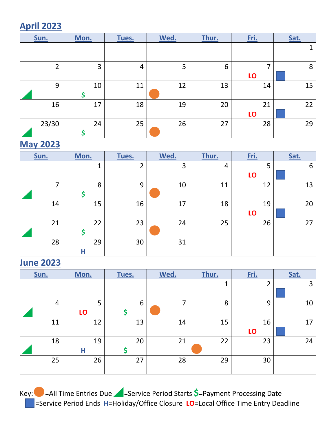# **April 2023**

| Sun.           | Mon. | Tues. | Wed. | Thur. | Fri.     | Sat. |
|----------------|------|-------|------|-------|----------|------|
|                |      |       |      |       |          |      |
| $\overline{2}$ | 3    | 4     | 5    | 6     | ⇁<br>LO  | 8    |
| 9              | 10   | 11    | 12   | 13    | 14       | 15   |
| 16             | 17   | 18    | 19   | 20    | 21<br>LO | 22   |
| 23/30          | 24   | 25    | 26   | 27    | 28       | 29   |

### **May 2023**

| Sun. | Mon. | Tues.          | Wed. | Thur. | Fri. | Sat. |
|------|------|----------------|------|-------|------|------|
|      | 1    | $\overline{2}$ | 3    | 4     | 5    | 6    |
|      |      |                |      |       | LO   |      |
| ⇁    | 8    | 9              | 10   | 11    | 12   | 13   |
|      |      |                |      |       |      |      |
| 14   | 15   | 16             | 17   | 18    | 19   | 20   |
|      |      |                |      |       | LO   |      |
| 21   | 22   | 23             | 24   | 25    | 26   | 27   |
|      |      |                |      |       |      |      |
| 28   | 29   | 30             | 31   |       |      |      |
|      | H    |                |      |       |      |      |

#### **June 2023**

| Sun.           | Mon.    | Tues.   | Wed. | Thur. | Fri.     | Sat. |
|----------------|---------|---------|------|-------|----------|------|
|                |         |         |      | 1     | 2        | 3    |
| $\overline{4}$ | 5<br>LO | 6<br>\$ |      | 8     | 9        | 10   |
| 11             | 12      | 13      | 14   | 15    | 16<br>LO | 17   |
| 18             | 19<br>Н | 20<br>S | 21   | 22    | 23       | 24   |
| 25             | 26      | 27      | 28   | 29    | 30       |      |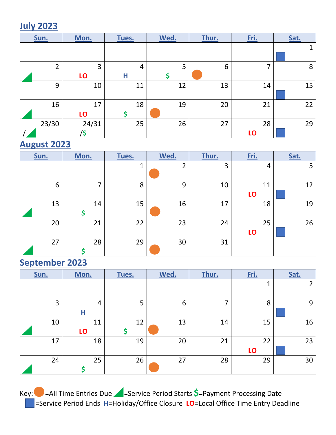### **July 2023**

| Sun.  | Mon.         | Tues.   | Wed. | Thur. | Fri.     | Sat. |
|-------|--------------|---------|------|-------|----------|------|
|       |              |         |      |       |          |      |
| ົາ    | 3<br>LO      | 4<br>Η  | 5    | 6     | ⇁        | 8    |
| 9     | 10           | 11      | 12   | 13    | 14       | 15   |
| 16    | 17<br>LO     | 18<br>S | 19   | 20    | 21       | 22   |
| 23/30 | 24/31<br>/\$ | 25      | 26   | 27    | 28<br>LO | 29   |

## **August 2023**

| Sun. | Mon. | Tues.   | Wed. | Thur. | Fri.     | Sat. |
|------|------|---------|------|-------|----------|------|
|      |      | 1<br>J. | ำ    | 3     | 4        | 5    |
| 6    | 7    | 8       | 9    | 10    | 11<br>LO | 12   |
| 13   | 14   | 15      | 16   | 17    | 18       | 19   |
| 20   | 21   | 22      | 23   | 24    | 25<br>LO | 26   |
| 27   | 28   | 29      | 30   | 31    |          |      |

#### **September 2023**

| Sun. | Mon.                | Tues.   | Wed. | Thur. | Fri.     | Sat.           |
|------|---------------------|---------|------|-------|----------|----------------|
|      |                     |         |      |       | 1        | $\overline{2}$ |
| 3    | $\overline{4}$<br>Н | 5       | 6    | 7     | 8        | 9              |
| 10   | 11<br>LO            | 12<br>S | 13   | 14    | 15       | 16             |
| 17   | 18                  | 19      | 20   | 21    | 22<br>LO | 23             |
| 24   | 25                  | 26      | 27   | 28    | 29       | 30             |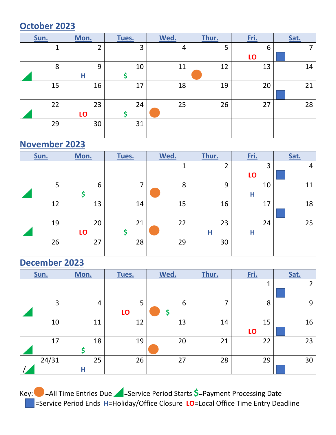### **October 2023**

| Sun. | Mon.           | Tues. | Wed. | Thur. | Fri. | Sat. |
|------|----------------|-------|------|-------|------|------|
| 1    | $\overline{2}$ | 3     | 4    | 5     | 6    | 7    |
|      |                |       |      |       | LO   |      |
| 8    | 9              | 10    | 11   | 12    | 13   | 14   |
|      | Н              |       |      |       |      |      |
| 15   | 16             | 17    | 18   | 19    | 20   | 21   |
|      |                |       |      |       |      |      |
| 22   | 23             | 24    | 25   | 26    | 27   | 28   |
|      | LO             |       |      |       |      |      |
| 29   | 30             | 31    |      |       |      |      |
|      |                |       |      |       |      |      |

### **November 2023**

| Sun. | Mon. | Tues. | Wed. | Thur.               | Fri. | Sat. |
|------|------|-------|------|---------------------|------|------|
|      |      |       | ◀    | ำ<br>$\overline{ }$ | 3    | 4    |
|      |      |       |      |                     | LO   |      |
| 5    | 6    | 7     | 8    | 9                   | 10   | 11   |
|      |      |       |      |                     | Н    |      |
| 12   | 13   | 14    | 15   | 16                  | 17   | 18   |
|      |      |       |      |                     |      |      |
| 19   | 20   | 21    | 22   | 23                  | 24   | 25   |
|      | LO   |       |      | Н                   | Н    |      |
| 26   | 27   | 28    | 29   | 30                  |      |      |
|      |      |       |      |                     |      |      |

# **December 2023**

| Sun.  | Mon.    | Tues.   | Wed. | Fri.<br>Thur. |          | Sat. |
|-------|---------|---------|------|---------------|----------|------|
|       |         |         |      |               | 1        | ว    |
| 3     | 4       | 5<br>LO | 6    | 7             | 8        | 9    |
| 10    | 11      | 12      | 13   | 14            | 15<br>LO | 16   |
| 17    | 18      | 19      | 20   | 21            | 22       | 23   |
| 24/31 | 25<br>Н | 26      | 27   | 28            | 29       | 30   |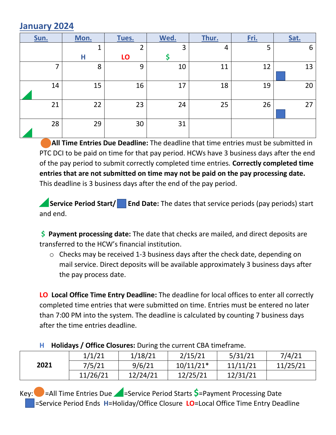#### **January 2024**

| Sun. | Mon. | Tues. | Wed. | Thur. | Fri. | Sat. |
|------|------|-------|------|-------|------|------|
|      | ◢    | າ     | 3    | 4     | 5    | 6    |
|      | Н    | LO    |      |       |      |      |
| ⇁    | 8    | 9     | 10   | 11    | 12   | 13   |
| 14   | 15   | 16    | 17   | 18    | 19   | 20   |
| 21   | 22   | 23    | 24   | 25    | 26   | 27   |
| 28   | 29   | 30    | 31   |       |      |      |

**All Time Entries Due Deadline:** The deadline that time entries must be submitted in PTC DCI to be paid on time for that pay period. HCWs have 3 business days after the end of the pay period to submit correctly completed time entries. **Correctly completed time entries that are not submitted on time may not be paid on the pay processing date.** This deadline is 3 business days after the end of the pay period.

**Service Period Start/** End Date: The dates that service periods (pay periods) start and end.

**\$ Payment processing date:** The date that checks are mailed, and direct deposits are transferred to the HCW's financial institution.

o Checks may be received 1-3 business days after the check date, depending on mail service. Direct deposits will be available approximately 3 business days after the pay process date.

**LO Local Office Time Entry Deadline:** The deadline for local offices to enter all correctly completed time entries that were submitted on time. Entries must be entered no later than 7:00 PM into the system. The deadline is calculated by counting 7 business days after the time entries deadline.

| ------- |          |          |             |          |          |  |  |  |
|---------|----------|----------|-------------|----------|----------|--|--|--|
|         | 1/1/21   | 1/18/21  | 2/15/21     | 5/31/21  | 7/4/21   |  |  |  |
| 2021    | 7/5/21   | 9/6/21   | $10/11/21*$ | 11/11/21 | 11/25/21 |  |  |  |
|         | 11/26/21 | 12/24/21 | 12/25/21    | 12/31/21 |          |  |  |  |

#### **H Holidays / Office Closures:** During the current CBA timeframe.